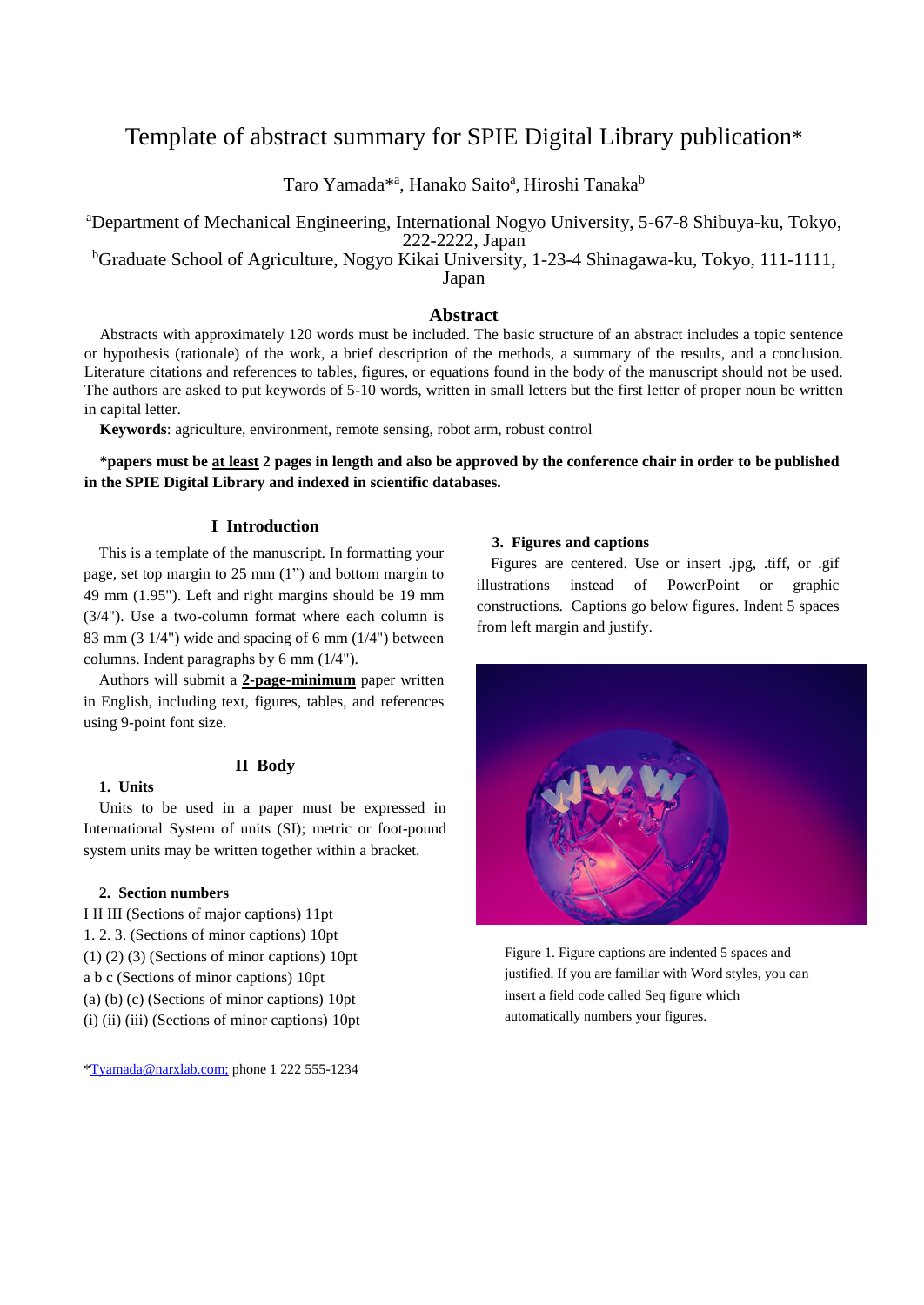# Template of abstract summary for SPIE Digital Library publication\*

Taro Yamada<sup>\*a</sup>, Hanako Saito<sup>a</sup>, Hiroshi Tanaka<sup>b</sup>

<sup>a</sup>Department of Mechanical Engineering, International Nogyo University, 5-67-8 Shibuya-ku, Tokyo, 222-2222, Japan

<sup>b</sup>Graduate School of Agriculture, Nogyo Kikai University, 1-23-4 Shinagawa-ku, Tokyo, 111-1111, Japan

## **Abstract**

Abstracts with approximately 120 words must be included. The basic structure of an abstract includes a topic sentence or hypothesis (rationale) of the work, a brief description of the methods, a summary of the results, and a conclusion. Literature citations and references to tables, figures, or equations found in the body of the manuscript should not be used. The authors are asked to put keywords of 5-10 words, written in small letters but the first letter of proper noun be written in capital letter.

**Keywords**: agriculture, environment, remote sensing, robot arm, robust control

# **\*papers must be at least 2 pages in length and also be approved by the conference chair in order to be published in the SPIE Digital Library and indexed in scientific databases.**

## **I Introduction**

This is a template of the manuscript. In formatting your page, set top margin to 25 mm (1") and bottom margin to 49 mm (1.95"). Left and right margins should be 19 mm (3/4"). Use a two-column format where each column is 83 mm (3 1/4") wide and spacing of 6 mm (1/4") between columns. Indent paragraphs by 6 mm (1/4").

Authors will submit a **2-page-minimum** paper written in English, including text, figures, tables, and references using 9-point font size.

## **II Body**

# **1. Units**

Units to be used in a paper must be expressed in International System of units (SI); metric or foot-pound system units may be written together within a bracket.

## **2. Section numbers**

I II III (Sections of major captions) 11pt 1. 2. 3. (Sections of minor captions) 10pt (1) (2) (3) (Sections of minor captions) 10pt a b c (Sections of minor captions) 10pt (a) (b) (c) (Sections of minor captions) 10pt (i) (ii) (iii) (Sections of minor captions) 10pt

## \*Tyamada@narxlab.com; phone 1 222 555-1234

#### **3. Figures and captions**

Figures are centered. Use or insert .jpg, .tiff, or .gif illustrations instead of PowerPoint or graphic constructions. Captions go below figures. Indent 5 spaces from left margin and justify.



Figure 1. Figure captions are indented 5 spaces and justified. If you are familiar with Word styles, you can insert a field code called Seq figure which automatically numbers your figures.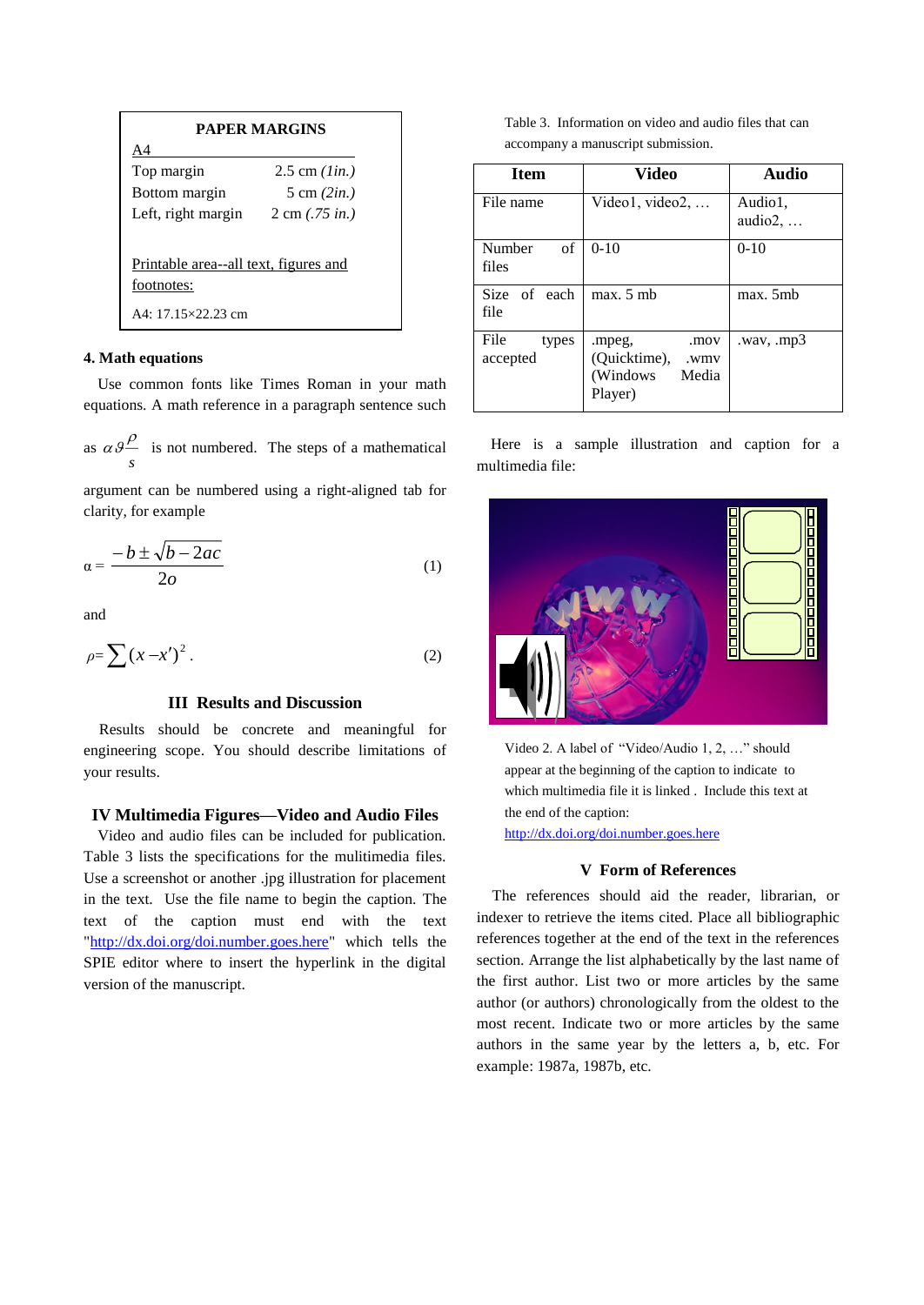| PAPER MARGINS                         |                                   |  |
|---------------------------------------|-----------------------------------|--|
| Α4                                    |                                   |  |
| Top margin                            | 2.5 cm $(1in.)$                   |  |
| Bottom margin                         | 5 cm $(2in.)$                     |  |
| Left, right margin                    | $2 \text{ cm } (.75 \text{ in.})$ |  |
|                                       |                                   |  |
| Printable area--all text, figures and |                                   |  |
| footnotes:                            |                                   |  |
| A4: $17.15 \times 22.23$ cm           |                                   |  |

# **4. Math equations**

Use common fonts like Times Roman in your math equations. A math reference in a paragraph sentence such

as *s*  $\alpha \theta$ <sup> $\beta$ </sup> is not numbered. The steps of a mathematical

argument can be numbered using a right-aligned tab for clarity, for example

$$
\alpha = \frac{-b \pm \sqrt{b - 2ac}}{2o} \tag{1}
$$

and

$$
\rho = \sum (x - x')^2 \,. \tag{2}
$$

## **III Results and Discussion**

Results should be concrete and meaningful for engineering scope. You should describe limitations of your results.

## **IV Multimedia Figures—Video and Audio Files**

Video and audio files can be included for publication. Table 3 lists the specifications for the mulitimedia files. Use a screenshot or another .jpg illustration for placement in the text. Use the file name to begin the caption. The text of the caption must end with the text ["http://dx.doi.org/doi.number.goes.here"](http://dx.doi.org/doi.number.goes.here) which tells the SPIE editor where to insert the hyperlink in the digital version of the manuscript.

Table 3. Information on video and audio files that can accompany a manuscript submission.

| Item                      | Video                                                                  | Audio                       |
|---------------------------|------------------------------------------------------------------------|-----------------------------|
| File name                 | Video1, video2, $\dots$                                                | Audio1.<br>$audio2, \ldots$ |
| Number<br>of<br>files     | $0-10$                                                                 | $0-10$                      |
| Size of each<br>file      | max. 5 mb                                                              | max. 5mb                    |
| File<br>types<br>accepted | .mov<br>.mpeg,<br>(Quicktime),<br>.wmy<br>(Windows<br>Media<br>Player) | way, mp3                    |

Here is a sample illustration and caption for a multimedia file:



Video 2. A label of "Video/Audio 1, 2, …" should appear at the beginning of the caption to indicate to which multimedia file it is linked . Include this text at the end of the caption:

<http://dx.doi.org/doi.number.goes.here>

# **V Form of References**

The references should aid the reader, librarian, or indexer to retrieve the items cited. Place all bibliographic references together at the end of the text in the references section. Arrange the list alphabetically by the last name of the first author. List two or more articles by the same author (or authors) chronologically from the oldest to the most recent. Indicate two or more articles by the same authors in the same year by the letters a, b, etc. For example: 1987a, 1987b, etc.